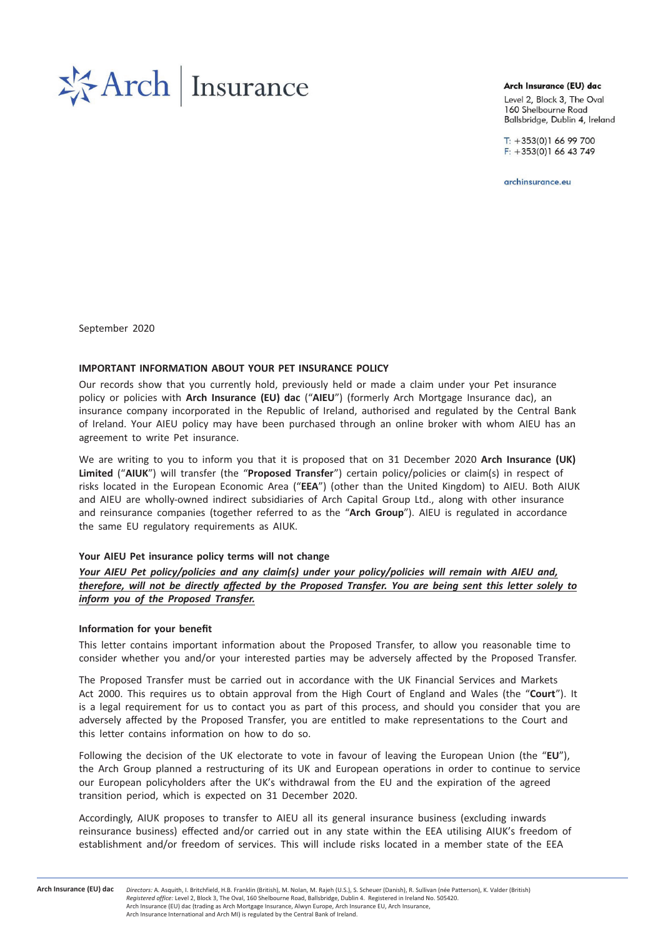

### Arch Insurance (EU) dac

Level 2, Block 3, The Oval 160 Shelbourne Road Ballsbridge, Dublin 4, Ireland

 $T: +353(0)16699700$  $F: +353(0)16643749$ 

archinsurance.eu

September 2020

## IMPORTANT INFORMATION ABOUT YOUR PET INSURANCE POLICY

Our records show that you currently hold, previously held or made a claim under your Pet insurance policy or policies with Arch Insurance (EU) dac ("AIEU") (formerly Arch Mortgage Insurance dac), an insurance company incorporated in the Republic of Ireland, authorised and regulated by the Central Bank of Ireland. Your AIEU policy may have been purchased through an online broker with whom AIEU has an agreement to write Pet insurance.

We are writing to you to inform you that it is proposed that on 31 December 2020 Arch Insurance (UK) Limited ("AIUK") will transfer (the "Proposed Transfer") certain policy/policies or claim(s) in respect of risks located in the European Economic Area ("EEA") (other than the United Kingdom) to AIEU. Both AIUK and AIEU are wholly-owned indirect subsidiaries of Arch Capital Group Ltd., along with other insurance and reinsurance companies (together referred to as the "Arch Group"). AIEU is regulated in accordance the same EU regulatory requirements as AIUK.

## Your AIEU Pet insurance policy terms will not change

Your AIEU Pet policy/policies and any claim(s) under your policy/policies will remain with AIEU and, therefore, will not be directly affected by the Proposed Transfer. You are being sent this letter solely to inform you of the Proposed Transfer.

#### Information for your benefit

This letter contains important information about the Proposed Transfer, to allow you reasonable time to consider whether you and/or your interested parties may be adversely affected by the Proposed Transfer.

The Proposed Transfer must be carried out in accordance with the UK Financial Services and Markets Act 2000. This requires us to obtain approval from the High Court of England and Wales (the "Court"). It is a legal requirement for us to contact you as part of this process, and should you consider that you are adversely affected by the Proposed Transfer, you are entitled to make representations to the Court and this letter contains information on how to do so.

Following the decision of the UK electorate to vote in favour of leaving the European Union (the "EU"), the Arch Group planned a restructuring of its UK and European operations in order to continue to service our European policyholders after the UK's withdrawal from the EU and the expiration of the agreed transition period, which is expected on 31 December 2020.

Accordingly, AIUK proposes to transfer to AIEU all its general insurance business (excluding inwards reinsurance business) effected and/or carried out in any state within the EEA utilising AIUK's freedom of establishment and/or freedom of services. This will include risks located in a member state of the EEA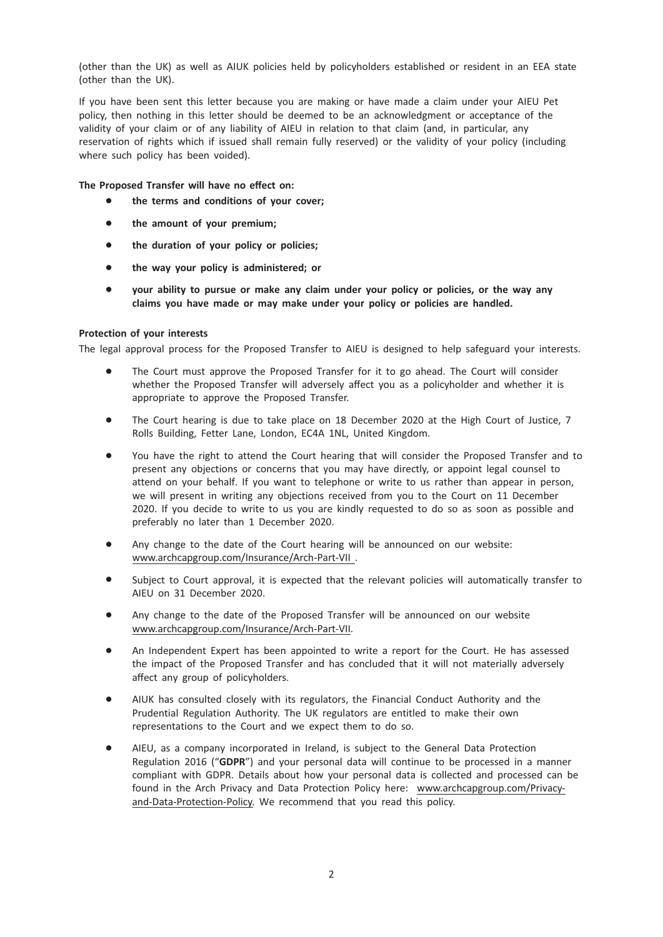(other than the UK) as well as AIUK policies held by policyholders established or resident in an EEA state (other than the UK).

If you have been sent this letter because you are making or have made a claim under your AIEU Pet policy, then nothing in this letter should be deemed to be an acknowledgment or acceptance of the validity of your claim or of any liability of AIEU in relation to that claim (and, in particular, any reservation of rights which if issued shall remain fully reserved) or the validity of your policy (including where such policy has been voided).

The Proposed Transfer will have no effect on:

- the terms and conditions of your cover;
- the amount of your premium;
- the duration of your policy or policies;
- the way your policy is administered; or
- your ability to pursue or make any claim under your policy or policies, or the way any claims you have made or may make under your policy or policies are handled.

## Protection of your interests

The legal approval process for the Proposed Transfer to AIEU is designed to help safeguard your interests.

- The Court must approve the Proposed Transfer for it to go ahead. The Court will consider whether the Proposed Transfer will adversely affect you as a policyholder and whether it is appropriate to approve the Proposed Transfer.
- The Court hearing is due to take place on 18 December 2020 at the High Court of Justice, 7 Rolls Building, Fetter Lane, London, EC4A 1NL, United Kingdom.
- \* You have the right to attend the Court hearing that will consider the Proposed Transfer and to present any objections or concerns that you may have directly, or appoint legal counsel to attend on your behalf. If you want to telephone or write to us rather than appear in person, we will present in writing any objections received from you to the Court on 11 December 2020. If you decide to write to us you are kindly requested to do so as soon as possible and preferably no later than 1 December 2020.
- Any change to the date of the Court hearing will be announced on our website: www.archcapgroup.com/Insurance/Arch-Part-VII .
- Subject to Court approval, it is expected that the relevant policies will automatically transfer to AIEU on 31 December 2020.
- \* Any change to the date of the Proposed Transfer will be announced on our website www.archcapgroup.com/Insurance/Arch-Part-VII.
- An Independent Expert has been appointed to write a report for the Court. He has assessed the impact of the Proposed Transfer and has concluded that it will not materially adversely affect any group of policyholders.
- \* AIUK has consulted closely with its regulators, the Financial Conduct Authority and the Prudential Regulation Authority. The UK regulators are entitled to make their own representations to the Court and we expect them to do so.
- AIEU, as a company incorporated in Ireland, is subject to the General Data Protection Regulation 2016 ("GDPR") and your personal data will continue to be processed in a manner compliant with GDPR. Details about how your personal data is collected and processed can be found in the Arch Privacy and Data Protection Policy here: www.archcapgroup.com/Privacyand-Data-Protection-Policy. We recommend that you read this policy.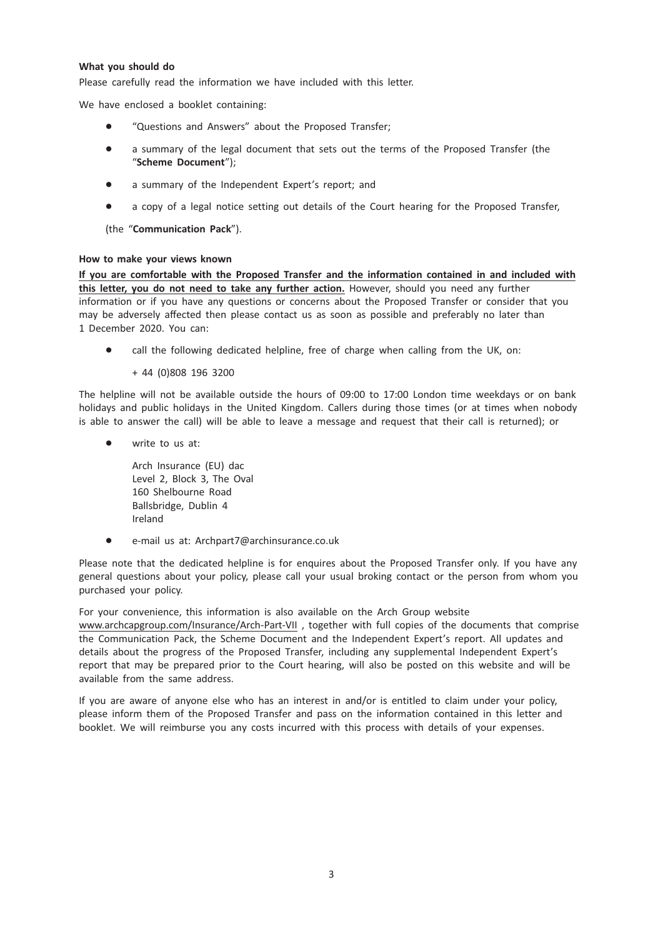# What you should do

Please carefully read the information we have included with this letter.

We have enclosed a booklet containing:

- \* "Questions and Answers" about the Proposed Transfer;
- a summary of the legal document that sets out the terms of the Proposed Transfer (the "Scheme Document");
- a summary of the Independent Expert's report; and
- a copy of a legal notice setting out details of the Court hearing for the Proposed Transfer,

(the "Communication Pack").

## How to make your views known

If you are comfortable with the Proposed Transfer and the information contained in and included with this letter, you do not need to take any further action. However, should you need any further information or if you have any questions or concerns about the Proposed Transfer or consider that you may be adversely affected then please contact us as soon as possible and preferably no later than 1 December 2020. You can:

call the following dedicated helpline, free of charge when calling from the UK, on:

+ 44 (0)808 196 3200

The helpline will not be available outside the hours of 09:00 to 17:00 London time weekdays or on bank holidays and public holidays in the United Kingdom. Callers during those times (or at times when nobody is able to answer the call) will be able to leave a message and request that their call is returned); or

write to us at:

Arch Insurance (EU) dac Level 2, Block 3, The Oval 160 Shelbourne Road Ballsbridge, Dublin 4 Ireland

e-mail us at: Archpart7@archinsurance.co.uk

Please note that the dedicated helpline is for enquires about the Proposed Transfer only. If you have any general questions about your policy, please call your usual broking contact or the person from whom you purchased your policy.

For your convenience, this information is also available on the Arch Group website www.archcapgroup.com/Insurance/Arch-Part-VII , together with full copies of the documents that comprise the Communication Pack, the Scheme Document and the Independent Expert's report. All updates and details about the progress of the Proposed Transfer, including any supplemental Independent Expert's report that may be prepared prior to the Court hearing, will also be posted on this website and will be available from the same address.

If you are aware of anyone else who has an interest in and/or is entitled to claim under your policy, please inform them of the Proposed Transfer and pass on the information contained in this letter and booklet. We will reimburse you any costs incurred with this process with details of your expenses.